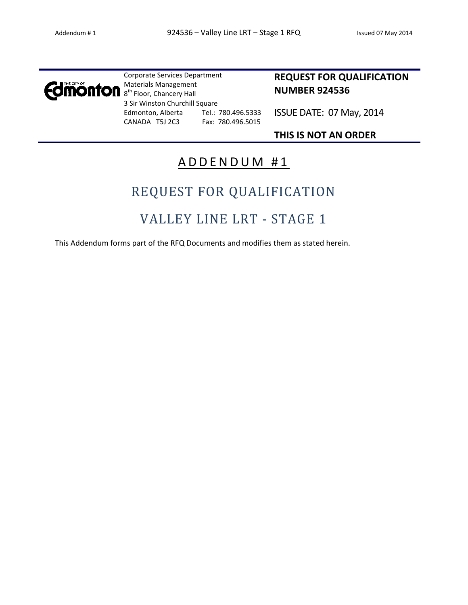

Corporate Services Department Materials Management 8<sup>th</sup> Floor, Chancery Hall 3 Sir Winston Churchill Square Edmonton, Alberta Tel.: 780.496.5333 CANADA T5J 2C3 Fax: 780.496.5015

### **REQUEST FOR QUALIFICATION NUMBER 924536**

ISSUE DATE: 07 May, 2014

**THIS IS NOT AN ORDER**

## ADDENDUM #1

# REQUEST FOR QUALIFICATION

# VALLEY LINE LRT - STAGE 1

This Addendum forms part of the RFQ Documents and modifies them as stated herein.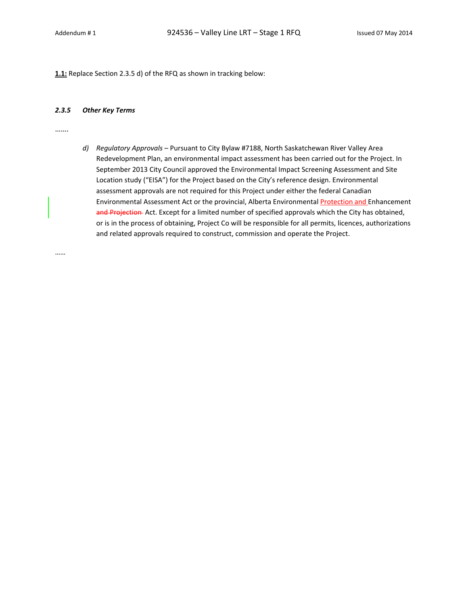**1.1:** Replace Section 2.3.5 d) of the RFQ as shown in tracking below:

#### *2.3.5 Other Key Terms*

…….

*d) Regulatory Approvals* – Pursuant to City Bylaw #7188, North Saskatchewan River Valley Area Redevelopment Plan, an environmental impact assessment has been carried out for the Project. In September 2013 City Council approved the Environmental Impact Screening Assessment and Site Location study ("EISA") for the Project based on the City's reference design. Environmental assessment approvals are not required for this Project under either the federal Canadian Environmental Assessment Act or the provincial, Alberta Environmental Protection and Enhancement and Projection Act. Except for a limited number of specified approvals which the City has obtained, or is in the process of obtaining, Project Co will be responsible for all permits, licences, authorizations and related approvals required to construct, commission and operate the Project.

……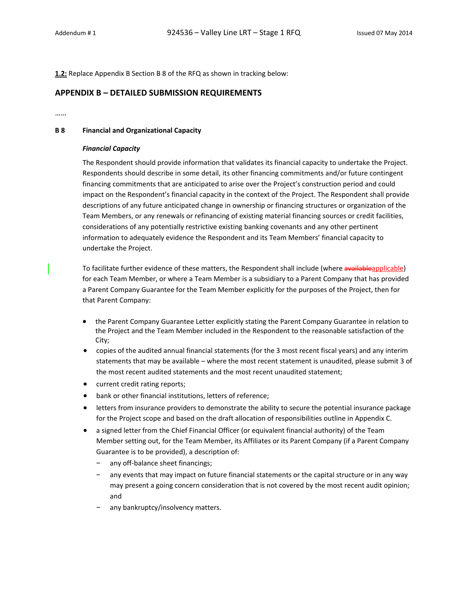**1.2:** Replace Appendix B Section B 8 of the RFQ as shown in tracking below:

### **APPENDIX B – DETAILED SUBMISSION REQUIREMENTS**

……

#### **B 8 Financial and Organizational Capacity**

#### *Financial Capacity*

The Respondent should provide information that validates its financial capacity to undertake the Project. Respondents should describe in some detail, its other financing commitments and/or future contingent financing commitments that are anticipated to arise over the Project's construction period and could impact on the Respondent's financial capacity in the context of the Project. The Respondent shall provide descriptions of any future anticipated change in ownership or financing structures or organization of the Team Members, or any renewals or refinancing of existing material financing sources or credit facilities, considerations of any potentially restrictive existing banking covenants and any other pertinent information to adequately evidence the Respondent and its Team Members' financial capacity to undertake the Project.

To facilitate further evidence of these matters, the Respondent shall include (where availableapplicable) for each Team Member, or where a Team Member is a subsidiary to a Parent Company that has provided a Parent Company Guarantee for the Team Member explicitly for the purposes of the Project, then for that Parent Company:

- the Parent Company Guarantee Letter explicitly stating the Parent Company Guarantee in relation to the Project and the Team Member included in the Respondent to the reasonable satisfaction of the City;
- copies of the audited annual financial statements (for the 3 most recent fiscal years) and any interim statements that may be available – where the most recent statement is unaudited, please submit 3 of the most recent audited statements and the most recent unaudited statement;
- current credit rating reports;
- bank or other financial institutions, letters of reference;
- letters from insurance providers to demonstrate the ability to secure the potential insurance package for the Project scope and based on the draft allocation of responsibilities outline in Appendix C.
- a signed letter from the Chief Financial Officer (or equivalent financial authority) of the Team Member setting out, for the Team Member, its Affiliates or its Parent Company (if a Parent Company Guarantee is to be provided), a description of:
	- any off-balance sheet financings;
	- any events that may impact on future financial statements or the capital structure or in any way may present a going concern consideration that is not covered by the most recent audit opinion; and
	- any bankruptcy/insolvency matters.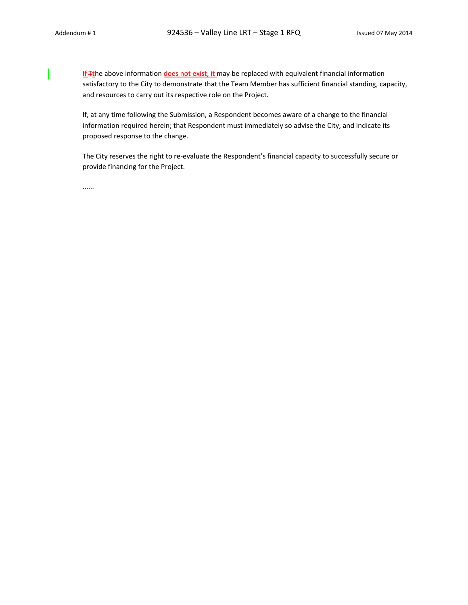If Tthe above information does not exist, it may be replaced with equivalent financial information satisfactory to the City to demonstrate that the Team Member has sufficient financial standing, capacity, and resources to carry out its respective role on the Project.

If, at any time following the Submission, a Respondent becomes aware of a change to the financial information required herein; that Respondent must immediately so advise the City, and indicate its proposed response to the change.

The City reserves the right to re‐evaluate the Respondent's financial capacity to successfully secure or provide financing for the Project.

......